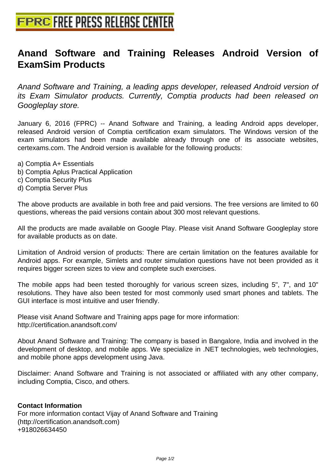## **[Anand Software and Training R](http://www.free-press-release-center.info)eleases Android Version of ExamSim Products**

Anand Software and Training, a leading apps developer, released Android version of its Exam Simulator products. Currently, Comptia products had been released on Googleplay store.

January 6, 2016 (FPRC) -- Anand Software and Training, a leading Android apps developer, released Android version of Comptia certification exam simulators. The Windows version of the exam simulators had been made available already through one of its associate websites, certexams.com. The Android version is available for the following products:

- a) Comptia A+ Essentials
- b) Comptia Aplus Practical Application
- c) Comptia Security Plus
- d) Comptia Server Plus

The above products are available in both free and paid versions. The free versions are limited to 60 questions, whereas the paid versions contain about 300 most relevant questions.

All the products are made available on Google Play. Please visit Anand Software Googleplay store for available products as on date.

Limitation of Android version of products: There are certain limitation on the features available for Android apps. For example, Simlets and router simulation questions have not been provided as it requires bigger screen sizes to view and complete such exercises.

The mobile apps had been tested thoroughly for various screen sizes, including 5", 7", and 10" resolutions. They have also been tested for most commonly used smart phones and tablets. The GUI interface is most intuitive and user friendly.

Please visit Anand Software and Training apps page for more information: http://certification.anandsoft.com/

About Anand Software and Training: The company is based in Bangalore, India and involved in the development of desktop, and mobile apps. We specialize in .NET technologies, web technologies, and mobile phone apps development using Java.

Disclaimer: Anand Software and Training is not associated or affiliated with any other company, including Comptia, Cisco, and others.

## **Contact Information**

For more information contact Vijay of Anand Software and Training (http://certification.anandsoft.com) +918026634450